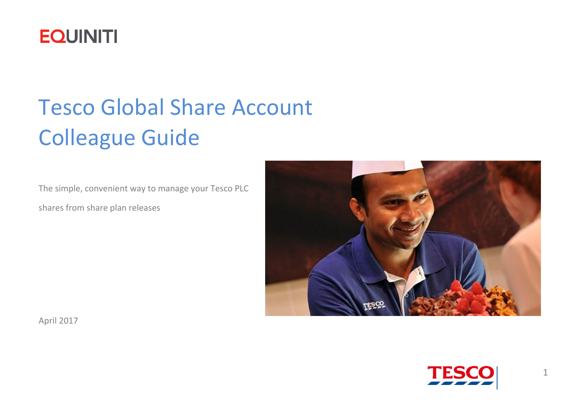

# Tesco Global Share Account Colleague Guide

The simple, convenient way to manage your Tesco PLC

shares from share plan releases



<span id="page-0-0"></span>April 2017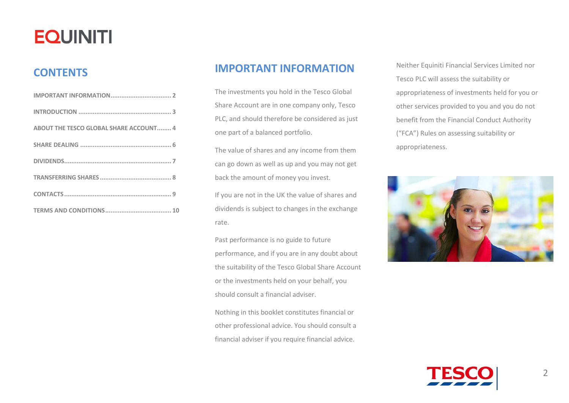### **CONTENTS**

<span id="page-1-0"></span>

| <b>ABOUT THE TESCO GLOBAL SHARE ACCOUNT 4</b> |
|-----------------------------------------------|
|                                               |
|                                               |
|                                               |
|                                               |
|                                               |

### **IMPORTANT INFORMATION**

The investments you hold in the Tesco Global Share Account are in one company only, Tesco PLC, and should therefore be considered as just one part of a balanced portfolio.

The value of shares and any income from them can go down as well as up and you may not get back the amount of money you invest.

If you are not in the UK the value of shares and dividends is subject to changes in the exchange rate.

Past performance is no guide to future performance, and if you are in any doubt about the suitability of the Tesco Global Share Account or the investments held on your behalf, you should consult a financial adviser.

Nothing in this booklet constitutes financial or other professional advice. You should consult a financial adviser if you require financial advice.

Neither Equiniti Financial Services Limited nor Tesco PLC will assess the suitability or appropriateness of investments held for you or other services provided to you and you do not benefit from the Financial Conduct Authority ("FCA") Rules on assessing suitability or appropriateness.



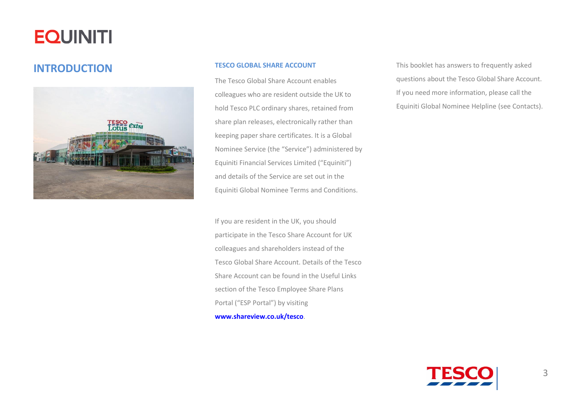### <span id="page-2-0"></span>**INTRODUCTION TESCO GLOBAL SHARE ACCOUNT**



The Tesco Global Share Account enables colleagues who are resident outside the UK to hold Tesco PLC ordinary shares, retained from share plan releases, electronically rather than keeping paper share certificates. It is a Global Nominee Service (the "Service") administered by Equiniti Financial Services Limited ("Equiniti") and details of the Service are set out in the Equiniti Global Nominee Terms and Conditions.

If you are resident in the UK, you should participate in the Tesco Share Account for UK colleagues and shareholders instead of the Tesco Global Share Account. Details of the Tesco Share Account can be found in the Useful Links section of the Tesco Employee Share Plans Portal ("ESP Portal") by visiting

**[www.shareview.co.uk/tesco](http://www.shareview.co.uk/tesco)**.

This booklet has answers to frequently asked questions about the Tesco Global Share Account. If you need more information, please call the Equiniti Global Nominee Helpline (see Contacts).

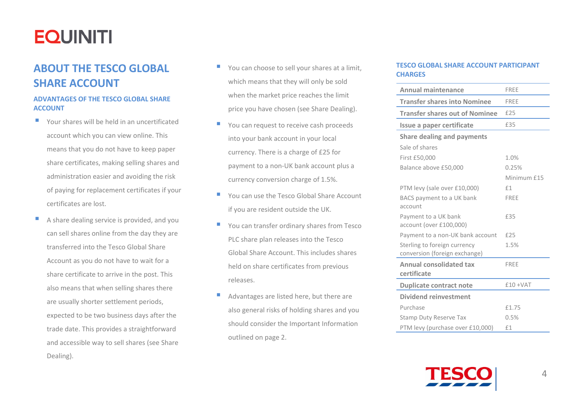### <span id="page-3-0"></span>**ABOUT THE TESCO GLOBAL SHARE ACCOUNT**

### **ADVANTAGES OF THE TESCO GLOBAL SHARE ACCOUNT**

- Your shares will be held in an uncertificated account which you can view online. This means that you do not have to keep paper share certificates, making selling shares and administration easier and avoiding the risk of paying for replacement certificates if your certificates are lost.
- A share dealing service is provided, and you can sell shares online from the day they are transferred into the Tesco Global Share Account as you do not have to wait for a share certificate to arrive in the post. This also means that when selling shares there are usually shorter settlement periods, expected to be two business days after the trade date. This provides a straightforward and accessible way to sell shares (see Share Dealing).
- You can choose to sell your shares at a limit, which means that they will only be sold when the market price reaches the limit price you have chosen (see Share Dealing).
- You can request to receive cash proceeds into your bank account in your local currency. There is a charge of £25 for payment to a non-UK bank account plus a currency conversion charge of 1.5%.
- **F** You can use the Tesco Global Share Account if you are resident outside the UK.
- You can transfer ordinary shares from Tesco PLC share plan releases into the Tesco Global Share Account. This includes shares held on share certificates from previous releases.
- Advantages are listed here, but there are also general risks of holding shares and you should consider the Important Information outlined on page 2.

#### **TESCO GLOBAL SHARE ACCOUNT PARTICIPANT CHARGES**

| <b>Annual maintenance</b>                                     | <b>FRFF</b> |
|---------------------------------------------------------------|-------------|
| <b>Transfer shares into Nominee</b>                           | FREE        |
| <b>Transfer shares out of Nominee</b>                         | £25         |
| Issue a paper certificate                                     | £35         |
| <b>Share dealing and payments</b>                             |             |
| Sale of shares                                                |             |
| First £50,000                                                 | 1.0%        |
| Balance above £50,000                                         | 0.25%       |
|                                                               | Minimum £15 |
| PTM levy (sale over £10,000)                                  | f1          |
| BACS payment to a UK bank<br>account                          | FREE        |
| Payment to a UK bank<br>account (over £100,000)               | £35         |
| Payment to a non-UK bank account                              | £25         |
| Sterling to foreign currency<br>conversion (foreign exchange) | 1.5%        |
| <b>Annual consolidated tax</b><br>certificate                 | <b>FRFF</b> |
| <b>Duplicate contract note</b>                                | $£10 + VAT$ |
| Dividend reinvestment                                         |             |
| Purchase                                                      | £1.75       |
| <b>Stamp Duty Reserve Tax</b>                                 | 0.5%        |
| PTM levy (purchase over £10,000)                              | £1          |

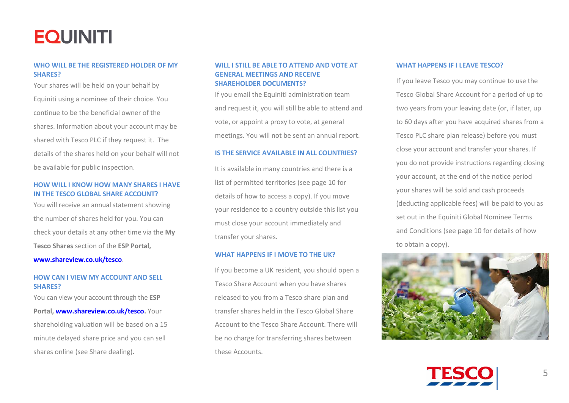#### **WHO WILL BE THE REGISTERED HOLDER OF MY SHARES?**

Your shares will be held on your behalf by Equiniti using a nominee of their choice. You continue to be the beneficial owner of the shares. Information about your account may be shared with Tesco PLC if they request it. The details of the shares held on your behalf will not be available for public inspection.

#### **HOW WILL I KNOW HOW MANY SHARES I HAVE IN THE TESCO GLOBAL SHARE ACCOUNT?**

You will receive an annual statement showing the number of shares held for you. You can check your details at any other time via the **My Tesco Shares** section of the **ESP Portal,** 

#### **[www.shareview.co.uk/tesco](http://www.shareview.co.uk/tesco)**.

#### **HOW CAN I VIEW MY ACCOUNT AND SELL SHARES?**

You can view your account through the **ESP Portal, [www.shareview.co.uk/tesco.](http://www.shareview.co.uk/tesco)** Your shareholding valuation will be based on a 15 minute delayed share price and you can sell shares online (see Share dealing).

#### **WILL I STILL BE ABLE TO ATTEND AND VOTE AT GENERAL MEETINGS AND RECEIVE SHAREHOLDER DOCUMENTS?**

If you email the Equiniti administration team and request it, you will still be able to attend and vote, or appoint a proxy to vote, at general meetings. You will not be sent an annual report.

#### **IS THE SERVICE AVAILABLE IN ALL COUNTRIES?**

It is available in many countries and there is a list of permitted territories (see page 10 for details of how to access a copy). If you move your residence to a country outside this list you must close your account immediately and transfer your shares.

#### **WHAT HAPPENS IF I MOVE TO THE UK?**

If you become a UK resident, you should open a Tesco Share Account when you have shares released to you from a Tesco share plan and transfer shares held in the Tesco Global Share Account to the Tesco Share Account. There will be no charge for transferring shares between these Accounts.

#### **WHAT HAPPENS IF I LEAVE TESCO?**

If you leave Tesco you may continue to use the Tesco Global Share Account for a period of up to two years from your leaving date (or, if later, up to 60 days after you have acquired shares from a Tesco PLC share plan release) before you must close your account and transfer your shares. If you do not provide instructions regarding closing your account, at the end of the notice period your shares will be sold and cash proceeds (deducting applicable fees) will be paid to you as set out in the Equiniti Global Nominee Terms and Conditions (see page 10 for details of how to obtain a copy).



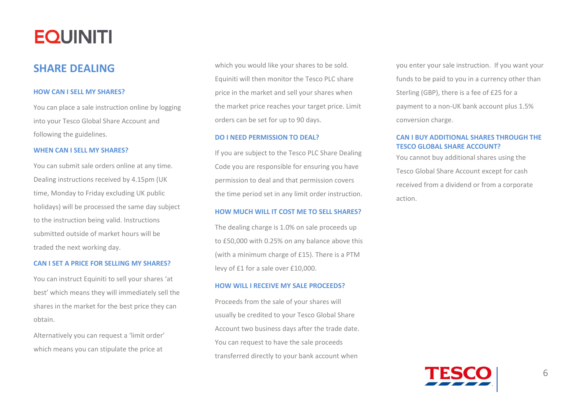### <span id="page-5-0"></span>**SHARE DEALING**

#### **HOW CAN I SELL MY SHARES?**

You can place a sale instruction online by logging into your Tesco Global Share Account and following the guidelines.

#### **WHEN CAN I SELL MY SHARES?**

You can submit sale orders online at any time. Dealing instructions received by 4.15pm (UK time, Monday to Friday excluding UK public holidays) will be processed the same day subject to the instruction being valid. Instructions submitted outside of market hours will be traded the next working day.

#### **CAN I SET A PRICE FOR SELLING MY SHARES?**

You can instruct Equiniti to sell your shares 'at best' which means they will immediately sell the shares in the market for the best price they can obtain.

<span id="page-5-1"></span>Alternatively you can request a 'limit order' which means you can stipulate the price at

which you would like your shares to be sold. Equiniti will then monitor the Tesco PLC share price in the market and sell your shares when the market price reaches your target price. Limit orders can be set for up to 90 days.

#### **DO I NEED PERMISSION TO DEAL?**

If you are subject to the Tesco PLC Share Dealing Code you are responsible for ensuring you have permission to deal and that permission covers the time period set in any limit order instruction.

#### **HOW MUCH WILL IT COST ME TO SELL SHARES?**

The dealing charge is 1.0% on sale proceeds up to £50,000 with 0.25% on any balance above this (with a minimum charge of £15). There is a PTM levy of £1 for a sale over £10,000.

#### **HOW WILL I RECEIVE MY SALE PROCEEDS?**

Proceeds from the sale of your shares will usually be credited to your Tesco Global Share Account two business days after the trade date. You can request to have the sale proceeds transferred directly to your bank account when

you enter your sale instruction. If you want your funds to be paid to you in a currency other than Sterling (GBP), there is a fee of £25 for a payment to a non-UK bank account plus 1.5% conversion charge.

#### **CAN I BUY ADDITIONAL SHARES THROUGH THE TESCO GLOBAL SHARE ACCOUNT?**

You cannot buy additional shares using the Tesco Global Share Account except for cash received from a dividend or from a corporate action.

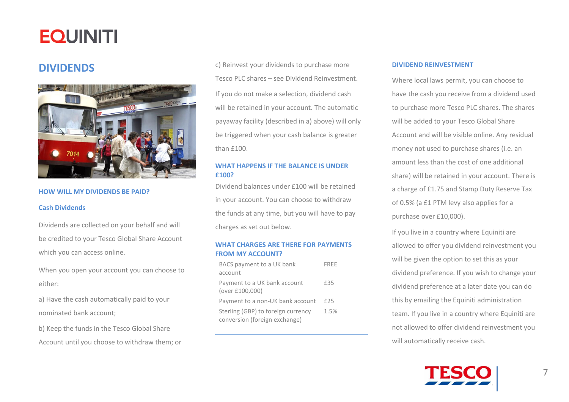### <span id="page-6-0"></span>**DIVIDENDS**



#### **HOW WILL MY DIVIDENDS BE PAID?**

#### **Cash Dividends**

Dividends are collected on your behalf and will be credited to your Tesco Global Share Account which you can access online.

When you open your account you can choose to either:

a) Have the cash automatically paid to your nominated bank account;

b) Keep the funds in the Tesco Global Share Account until you choose to withdraw them; or c) Reinvest your dividends to purchase more Tesco PLC shares – see Dividend Reinvestment. If you do not make a selection, dividend cash will be retained in your account. The automatic payaway facility (described in a) above) will only be triggered when your cash balance is greater than £100.

#### **WHAT HAPPENS IF THE BALANCE IS UNDER £100?**

Dividend balances under £100 will be retained in your account. You can choose to withdraw the funds at any time, but you will have to pay charges as set out below.

#### **WHAT CHARGES ARE THERE FOR PAYMENTS FROM MY ACCOUNT?**

| BACS payment to a UK bank                                           | FRFF |
|---------------------------------------------------------------------|------|
| account                                                             |      |
| Payment to a UK bank account<br>(over £100,000)                     | £35  |
| Payment to a non-UK bank account                                    | £25  |
| Sterling (GBP) to foreign currency<br>conversion (foreign exchange) | 1.5% |

#### **DIVIDEND REINVESTMENT**

Where local laws permit, you can choose to have the cash you receive from a dividend used to purchase more Tesco PLC shares. The shares will be added to your Tesco Global Share Account and will be visible online. Any residual money not used to purchase shares (i.e. an amount less than the cost of one additional share) will be retained in your account. There is a charge of £1.75 and Stamp Duty Reserve Tax of 0.5% (a £1 PTM levy also applies for a purchase over £10,000).

If you live in a country where Equiniti are allowed to offer you dividend reinvestment you will be given the option to set this as your dividend preference. If you wish to change your dividend preference at a later date you can do this by emailing the Equiniti administration team. If you live in a country where Equiniti are not allowed to offer dividend reinvestment you will automatically receive cash.

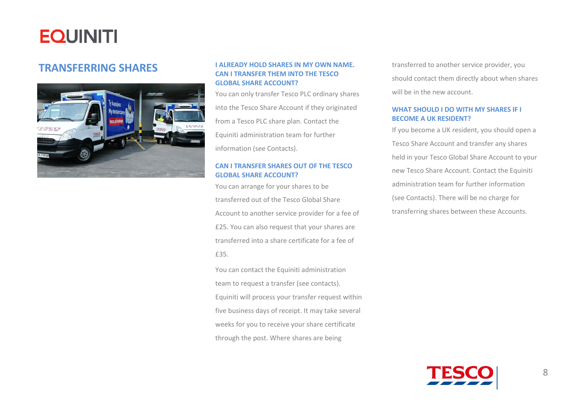

### <span id="page-7-0"></span>**TRANSFERRING SHARES I ALREADY HOLD SHARES IN MY OWN NAME. CAN I TRANSFER THEM INTO THE TESCO GLOBAL SHARE ACCOUNT?**

You can only transfer Tesco PLC ordinary shares into the Tesco Share Account if they originated from a Tesco PLC share plan. Contact the Equiniti administration team for further information (see Contacts).

### **CAN I TRANSFER SHARES OUT OF THE TESCO GLOBAL SHARE ACCOUNT?**

You can arrange for your shares to be transferred out of the Tesco Global Share Account to another service provider for a fee of £25. You can also request that your shares are transferred into a share certificate for a fee of £35.

<span id="page-7-1"></span>You can contact the Equiniti administration team to request a transfer (see contacts). Equiniti will process your transfer request within five business days of receipt. It may take several weeks for you to receive your share certificate through the post. Where shares are being

transferred to another service provider, you should contact them directly about when shares will be in the new account.

#### **WHAT SHOULD I DO WITH MY SHARES IF I BECOME A UK RESIDENT?**

If you become a UK resident, you should open a Tesco Share Account and transfer any shares held in your Tesco Global Share Account to your new Tesco Share Account. Contact the Equiniti administration team for further information (see Contacts). There will be no charge for transferring shares between these Accounts.

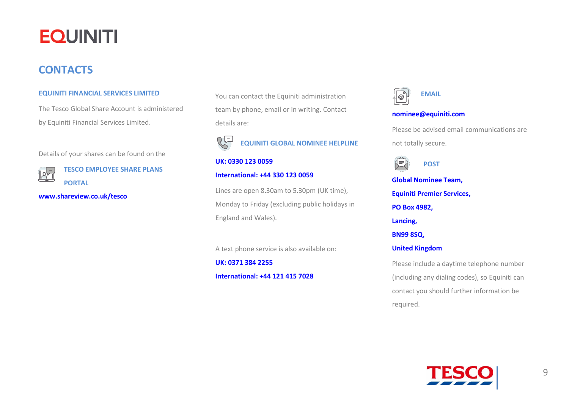### <span id="page-8-0"></span>**CONTACTS**

ĀŸ

#### **EQUINITI FINANCIAL SERVICES LIMITED**

The Tesco Global Share Account is administered by Equiniti Financial Services Limited.

Details of your shares can be found on the

**TESCO EMPLOYEE SHARE PLANS PORTAL**

**[www.shareview.co.uk/tesco](http://www.shareview.co.uk/tesco)**

You can contact the Equiniti administration team by phone, email or in writing. Contact details are:

**EQUINITI GLOBAL NOMINEE HELPLINE**

#### **UK: 0330 123 0059**

#### **International: +44 330 123 0059**

Lines are open 8.30am to 5.30pm (UK time), Monday to Friday (excluding public holidays in England and Wales).

A text phone service is also available on:

**UK: 0371 384 2255 International: +44 121 415 7028**

 **EMAIL** |@-

#### **[nominee@equiniti.com](mailto:nominee@equiniti.com)**

Please be advised email communications are not totally secure.

**POST**

**Global Nominee Team, Equiniti Premier Services, PO Box 4982, Lancing, BN99 8SQ, United Kingdom**

Please include a daytime telephone number (including any dialing codes), so Equiniti can contact you should further information be required.